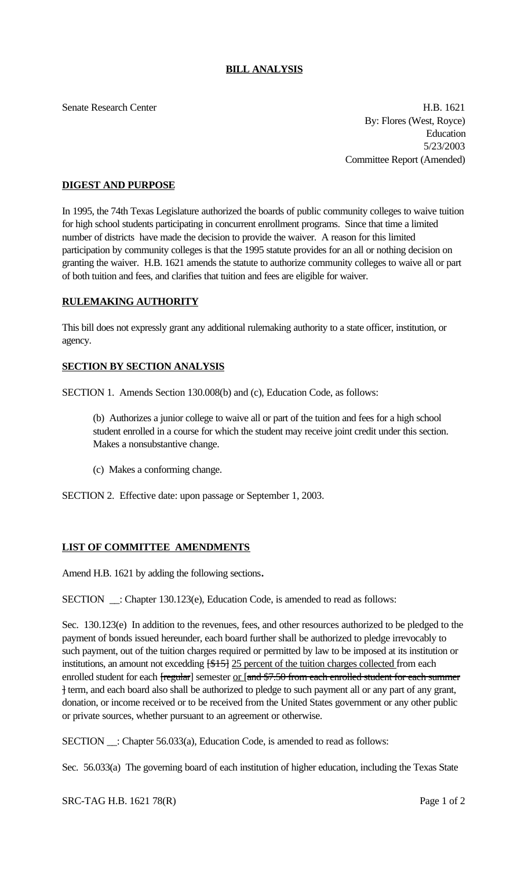## **BILL ANALYSIS**

Senate Research Center **H.B. 1621** 

By: Flores (West, Royce) Education 5/23/2003 Committee Report (Amended)

# **DIGEST AND PURPOSE**

In 1995, the 74th Texas Legislature authorized the boards of public community colleges to waive tuition for high school students participating in concurrent enrollment programs. Since that time a limited number of districts have made the decision to provide the waiver. A reason for this limited participation by community colleges is that the 1995 statute provides for an all or nothing decision on granting the waiver. H.B. 1621 amends the statute to authorize community colleges to waive all or part of both tuition and fees, and clarifies that tuition and fees are eligible for waiver.

## **RULEMAKING AUTHORITY**

This bill does not expressly grant any additional rulemaking authority to a state officer, institution, or agency.

## **SECTION BY SECTION ANALYSIS**

SECTION 1. Amends Section 130.008(b) and (c), Education Code, as follows:

(b) Authorizes a junior college to waive all or part of the tuition and fees for a high school student enrolled in a course for which the student may receive joint credit under this section. Makes a nonsubstantive change.

(c) Makes a conforming change.

SECTION 2. Effective date: upon passage or September 1, 2003.

## **LIST OF COMMITTEE AMENDMENTS**

Amend H.B. 1621 by adding the following sections**.**

SECTION \_\_: Chapter 130.123(e), Education Code, is amended to read as follows:

Sec. 130.123(e) In addition to the revenues, fees, and other resources authorized to be pledged to the payment of bonds issued hereunder, each board further shall be authorized to pledge irrevocably to such payment, out of the tuition charges required or permitted by law to be imposed at its institution or institutions, an amount not excedding  $\frac{1515}{25}$  percent of the tuition charges collected from each enrolled student for each [regular] semester or [and \$7.50 from each enrolled student for each summer ] term, and each board also shall be authorized to pledge to such payment all or any part of any grant, donation, or income received or to be received from the United States government or any other public or private sources, whether pursuant to an agreement or otherwise.

SECTION \_\_: Chapter 56.033(a), Education Code, is amended to read as follows:

Sec. 56.033(a) The governing board of each institution of higher education, including the Texas State